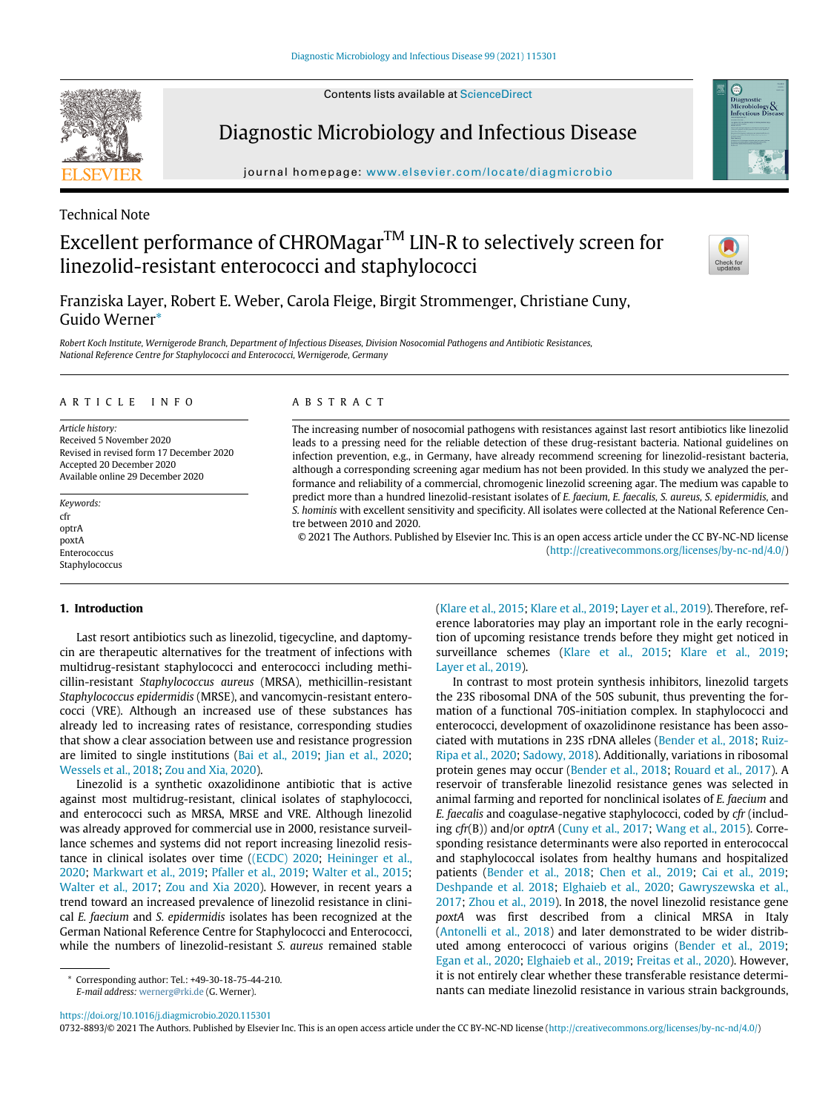Contents lists available at [ScienceDirect](http://www.ScienceDirect.com)



Diagnostic Microbiology and Infectious Disease

journal homepage: [www.elsevier.com/locate/diagmicrobio](http://www.elsevier.com/locate/diagmicrobio)

## Technical Note

# Excellent performance of CHROMagar<sup>TM</sup> LIN-R to selectively screen for linezolid-resistant enterococci and staphylococci



Franziska Layer, Robert E. Weber, Carola Fleige, Birgit Strommenger, Christiane Cuny, Guido Werner[\\*](#page-0-0)

Robert Koch Institute, Wernigerode Branch, Department of Infectious Diseases, Division Nosocomial Pathogens and Antibiotic Resistances, National Reference Centre for Staphylococci and Enterococci, Wernigerode, Germany

#### ARTICLE INFO

Article history: Received 5 November 2020 Revised in revised form 17 December 2020 Accepted 20 December 2020 Available online 29 December 2020

Keywords: cfr optrA poxtA Enterococcus Staphylococcus

#### ABSTRACT

The increasing number of nosocomial pathogens with resistances against last resort antibiotics like linezolid leads to a pressing need for the reliable detection of these drug-resistant bacteria. National guidelines on infection prevention, e.g., in Germany, have already recommend screening for linezolid-resistant bacteria, although a corresponding screening agar medium has not been provided. In this study we analyzed the performance and reliability of a commercial, chromogenic linezolid screening agar. The medium was capable to predict more than a hundred linezolid-resistant isolates of E. faecium, E. faecalis, S. aureus, S. epidermidis, and S. hominis with excellent sensitivity and specificity. All isolates were collected at the National Reference Centre between 2010 and 2020.

© 2021 The Authors. Published by Elsevier Inc. This is an open access article under the CC BY-NC-ND license ([http://creativecommons.org/licenses/by-nc-nd/4.0/\)](http://creativecommons.org/licenses/by-nc-nd/4.0/)

## 1. Introduction

Last resort antibiotics such as linezolid, tigecycline, and daptomycin are therapeutic alternatives for the treatment of infections with multidrug-resistant staphylococci and enterococci including methicillin-resistant Staphylococcus aureus (MRSA), methicillin-resistant Staphylococcus epidermidis (MRSE), and vancomycin-resistant enterococci (VRE). Although an increased use of these substances has already led to increasing rates of resistance, corresponding studies that show a clear association between use and resistance progression are limited to single institutions ([Bai et al., 2019;](#page-3-0) [Jian et al., 2020;](#page-3-1) [Wessels et al., 2018;](#page-4-0) [Zou and Xia, 2020](#page-4-1)).

Linezolid is a synthetic oxazolidinone antibiotic that is active against most multidrug-resistant, clinical isolates of staphylococci, and enterococci such as MRSA, MRSE and VRE. Although linezolid was already approved for commercial use in 2000, resistance surveillance schemes and systems did not report increasing linezolid resistance in clinical isolates over time ([\(ECDC\) 2020;](#page-3-2) [Heininger et al.,](#page-3-3) [2020;](#page-3-3) [Markwart et al., 2019](#page-4-2); [Pfaller et al., 2019](#page-4-3); [Walter et al., 2015;](#page-4-4) [Walter et al., 2017](#page-4-5); [Zou and Xia 2020\)](#page-4-1). However, in recent years a trend toward an increased prevalence of linezolid resistance in clinical E. faecium and S. epidermidis isolates has been recognized at the German National Reference Centre for Staphylococci and Enterococci, while the numbers of linezolid-resistant S. aureus remained stable

[\(Klare et al., 2015](#page-3-4); [Klare et al., 2019;](#page-3-5) [Layer et al., 2019\)](#page-3-6). Therefore, reference laboratories may play an important role in the early recognition of upcoming resistance trends before they might get noticed in surveillance schemes [\(Klare et al., 2015](#page-3-4); [Klare et al., 2019;](#page-3-5) [Layer et al., 2019](#page-3-6)).

In contrast to most protein synthesis inhibitors, linezolid targets the 23S ribosomal DNA of the 50S subunit, thus preventing the formation of a functional 70S-initiation complex. In staphylococci and enterococci, development of oxazolidinone resistance has been associated with mutations in 23S rDNA alleles [\(Bender et al., 2018](#page-3-7); [Ruiz-](#page-4-6)[Ripa et al., 2020;](#page-4-6) [Sadowy, 2018](#page-4-7)). Additionally, variations in ribosomal protein genes may occur [\(Bender et al., 2018](#page-3-7); [Rouard et al., 2017](#page-4-8)). A reservoir of transferable linezolid resistance genes was selected in animal farming and reported for nonclinical isolates of E. faecium and E. faecalis and coagulase-negative staphylococci, coded by cfr (including cfr(B)) and/or optrA ([Cuny et al., 2017;](#page-3-8) [Wang et al., 2015](#page-4-9)). Corresponding resistance determinants were also reported in enterococcal and staphylococcal isolates from healthy humans and hospitalized patients ([Bender et al., 2018](#page-3-9); [Chen et al., 2019](#page-3-10); [Cai et al., 2019;](#page-3-11) [Deshpande et al. 2018;](#page-3-12) [Elghaieb et al., 2020](#page-3-13); [Gawryszewska et al.,](#page-3-14) [2017;](#page-3-14) [Zhou et al., 2019](#page-4-10)). In 2018, the novel linezolid resistance gene poxtA was first described from a clinical MRSA in Italy [\(Antonelli et al., 2018\)](#page-3-15) and later demonstrated to be wider distributed among enterococci of various origins ([Bender et al., 2019;](#page-3-16) [Egan et al., 2020](#page-3-17); [Elghaieb et al., 2019](#page-3-18); [Freitas et al., 2020\)](#page-3-19). However, it is not entirely clear whether these transferable resistance determinants can mediate linezolid resistance in various strain backgrounds,

<https://doi.org/10.1016/j.diagmicrobio.2020.115301>

0732-8893/© 2021 The Authors. Published by Elsevier Inc. This is an open access article under the CC BY-NC-ND license ([http://creativecommons.org/licenses/by-nc-nd/4.0/\)](http://creativecommons.org/licenses/by-nc-nd/4.0/)

<span id="page-0-0"></span>Corresponding author: Tel.: +49-30-18-75-44-210. E-mail address: [wernerg@rki.de](mailto:wernerg@rki.de) (G. Werner).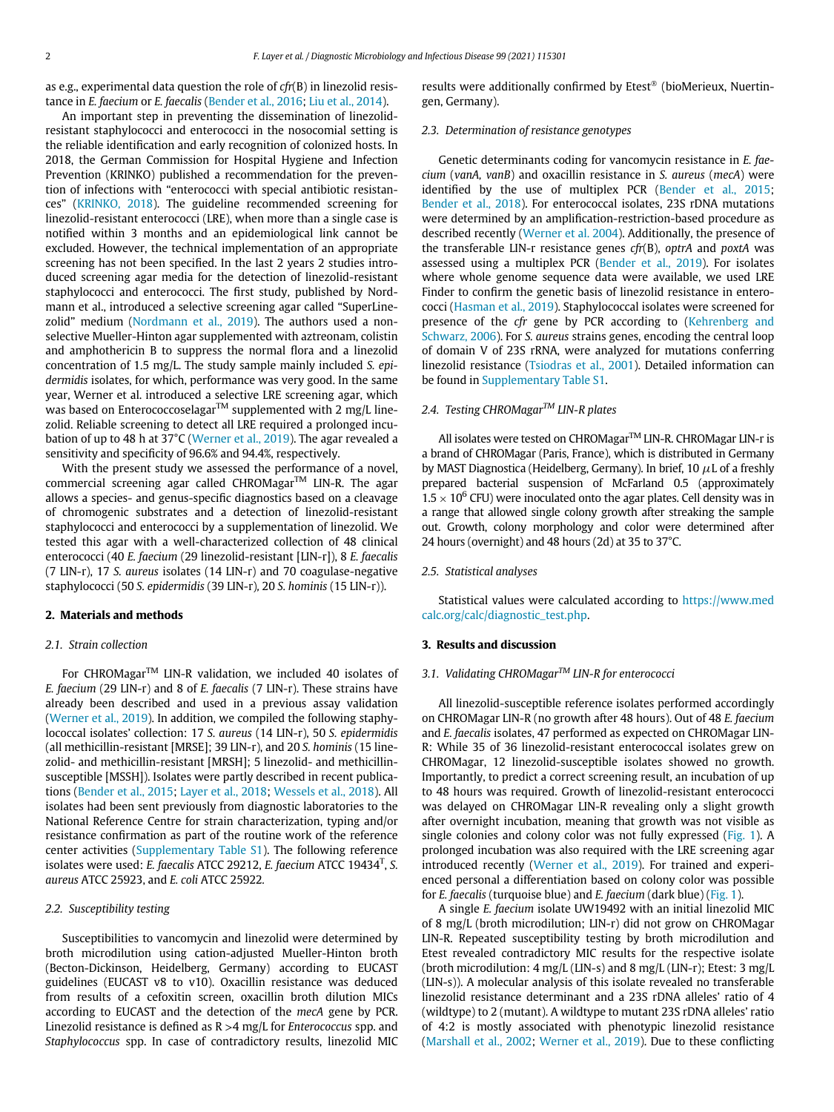as e.g., experimental data question the role of cfr(B) in linezolid resistance in E. faecium or E. faecalis ([Bender et al., 2016](#page-3-20); [Liu et al., 2014](#page-4-11)).

An important step in preventing the dissemination of linezolidresistant staphylococci and enterococci in the nosocomial setting is the reliable identification and early recognition of colonized hosts. In 2018, the German Commission for Hospital Hygiene and Infection Prevention (KRINKO) published a recommendation for the prevention of infections with "enterococci with special antibiotic resistances" ([KRINKO, 2018\)](#page-3-21). The guideline recommended screening for linezolid-resistant enterococci (LRE), when more than a single case is notified within 3 months and an epidemiological link cannot be excluded. However, the technical implementation of an appropriate screening has not been specified. In the last 2 years 2 studies introduced screening agar media for the detection of linezolid-resistant staphylococci and enterococci. The first study, published by Nordmann et al., introduced a selective screening agar called "SuperLine-zolid" medium ([Nordmann et al., 2019](#page-4-12)). The authors used a nonselective Mueller-Hinton agar supplemented with aztreonam, colistin and amphothericin B to suppress the normal flora and a linezolid concentration of 1.5 mg/L. The study sample mainly included S. epidermidis isolates, for which, performance was very good. In the same year, Werner et al. introduced a selective LRE screening agar, which was based on Enterococcoselagar<sup>TM</sup> supplemented with 2 mg/L linezolid. Reliable screening to detect all LRE required a prolonged incubation of up to 48 h at 37°C ([Werner et al., 2019](#page-4-13)). The agar revealed a sensitivity and specificity of 96.6% and 94.4%, respectively.

With the present study we assessed the performance of a novel, commercial screening agar called CHROMagar™ LIN-R. The agar allows a species- and genus-specific diagnostics based on a cleavage of chromogenic substrates and a detection of linezolid-resistant staphylococci and enterococci by a supplementation of linezolid. We tested this agar with a well-characterized collection of 48 clinical enterococci (40 E. faecium (29 linezolid-resistant [LIN-r]), 8 E. faecalis (7 LIN-r), 17 S. aureus isolates (14 LIN-r) and 70 coagulase-negative staphylococci (50 S. epidermidis (39 LIN-r), 20 S. hominis (15 LIN-r)).

## 2. Materials and methods

#### 2.1. Strain collection

For CHROMagar<sup>™</sup> LIN-R validation, we included 40 isolates of E. faecium (29 LIN-r) and 8 of E. faecalis (7 LIN-r). These strains have already been described and used in a previous assay validation [\(Werner et al., 2019](#page-4-13)). In addition, we compiled the following staphylococcal isolates' collection: 17 S. aureus (14 LIN-r), 50 S. epidermidis (all methicillin-resistant [MRSE]; 39 LIN-r), and 20 S. hominis (15 linezolid- and methicillin-resistant [MRSH]; 5 linezolid- and methicillinsusceptible [MSSH]). Isolates were partly described in recent publications ([Bender et al., 2015](#page-3-22); [Layer et al., 2018](#page-3-23); [Wessels et al., 2018\)](#page-4-0). All isolates had been sent previously from diagnostic laboratories to the National Reference Centre for strain characterization, typing and/or resistance confirmation as part of the routine work of the reference center activities [\(Supplementary Table S1](#page-3-24)). The following reference isolates were used: E. faecalis ATCC 29212, E. faecium ATCC 19434<sup>T</sup>, S. aureus ATCC 25923, and E. coli ATCC 25922.

## 2.2. Susceptibility testing

Susceptibilities to vancomycin and linezolid were determined by broth microdilution using cation-adjusted Mueller-Hinton broth (Becton-Dickinson, Heidelberg, Germany) according to EUCAST guidelines (EUCAST v8 to v10). Oxacillin resistance was deduced from results of a cefoxitin screen, oxacillin broth dilution MICs according to EUCAST and the detection of the mecA gene by PCR. Linezolid resistance is defined as  $R > 4$  mg/L for *Enterococcus* spp. and Staphylococcus spp. In case of contradictory results, linezolid MIC results were additionally confirmed by Etest® (bioMerieux, Nuertingen, Germany).

## 2.3. Determination of resistance genotypes

Genetic determinants coding for vancomycin resistance in E. faecium (vanA, vanB) and oxacillin resistance in S. aureus (mecA) were identified by the use of multiplex PCR ([Bender et al., 2015;](#page-3-22) [Bender et al., 2018](#page-3-9)). For enterococcal isolates, 23S rDNA mutations were determined by an amplification-restriction-based procedure as described recently [\(Werner et al. 2004](#page-4-14)). Additionally, the presence of the transferable LIN-r resistance genes  $cfr(B)$ , optrA and poxtA was assessed using a multiplex PCR [\(Bender et al., 2019\)](#page-3-16). For isolates where whole genome sequence data were available, we used LRE Finder to confirm the genetic basis of linezolid resistance in enterococci [\(Hasman et al., 2019](#page-3-25)). Staphylococcal isolates were screened for presence of the cfr gene by PCR according to [\(Kehrenberg and](#page-3-26) [Schwarz, 2006](#page-3-26)). For S. aureus strains genes, encoding the central loop of domain V of 23S rRNA, were analyzed for mutations conferring linezolid resistance [\(Tsiodras et al., 2001\)](#page-4-15). Detailed information can be found in [Supplementary Table S1](#page-3-24).

## 2.4. Testing CHROMagar™ LIN-R plates

All isolates were tested on CHROMagar<sup>TM</sup> LIN-R. CHROMagar LIN-r is a brand of CHROMagar (Paris, France), which is distributed in Germany by MAST Diagnostica (Heidelberg, Germany). In brief, 10  $\mu$ L of a freshly prepared bacterial suspension of McFarland 0.5 (approximately  $1.5 \times 10^6$  CFU) were inoculated onto the agar plates. Cell density was in a range that allowed single colony growth after streaking the sample out. Growth, colony morphology and color were determined after 24 hours (overnight) and 48 hours (2d) at 35 to 37°C.

## 2.5. Statistical analyses

Statistical values were calculated according to [https://www.med](https://www.medcalc.org/calc/diagnostic_test.php) [calc.org/calc/diagnostic\\_test.php](https://www.medcalc.org/calc/diagnostic_test.php).

#### 3. Results and discussion

## 3.1. Validating CHROMagar<sup>™</sup> LIN-R for enterococci

All linezolid-susceptible reference isolates performed accordingly on CHROMagar LIN-R (no growth after 48 hours). Out of 48 E. faecium and E. faecalis isolates, 47 performed as expected on CHROMagar LIN-R: While 35 of 36 linezolid-resistant enterococcal isolates grew on CHROMagar, 12 linezolid-susceptible isolates showed no growth. Importantly, to predict a correct screening result, an incubation of up to 48 hours was required. Growth of linezolid-resistant enterococci was delayed on CHROMagar LIN-R revealing only a slight growth after overnight incubation, meaning that growth was not visible as single colonies and colony color was not fully expressed [\(Fig. 1](#page-2-0)). A prolonged incubation was also required with the LRE screening agar introduced recently [\(Werner et al., 2019](#page-4-13)). For trained and experienced personal a differentiation based on colony color was possible for E. faecalis (turquoise blue) and E. faecium (dark blue) [\(Fig. 1\)](#page-2-0).

A single E. faecium isolate UW19492 with an initial linezolid MIC of 8 mg/L (broth microdilution; LIN-r) did not grow on CHROMagar LIN-R. Repeated susceptibility testing by broth microdilution and Etest revealed contradictory MIC results for the respective isolate (broth microdilution: 4 mg/L (LIN-s) and 8 mg/L (LIN-r); Etest: 3 mg/L (LIN-s)). A molecular analysis of this isolate revealed no transferable linezolid resistance determinant and a 23S rDNA alleles' ratio of 4 (wildtype) to 2 (mutant). A wildtype to mutant 23S rDNA alleles' ratio of 4:2 is mostly associated with phenotypic linezolid resistance [\(Marshall et al., 2002;](#page-4-16) [Werner et al., 2019\)](#page-4-13). Due to these conflicting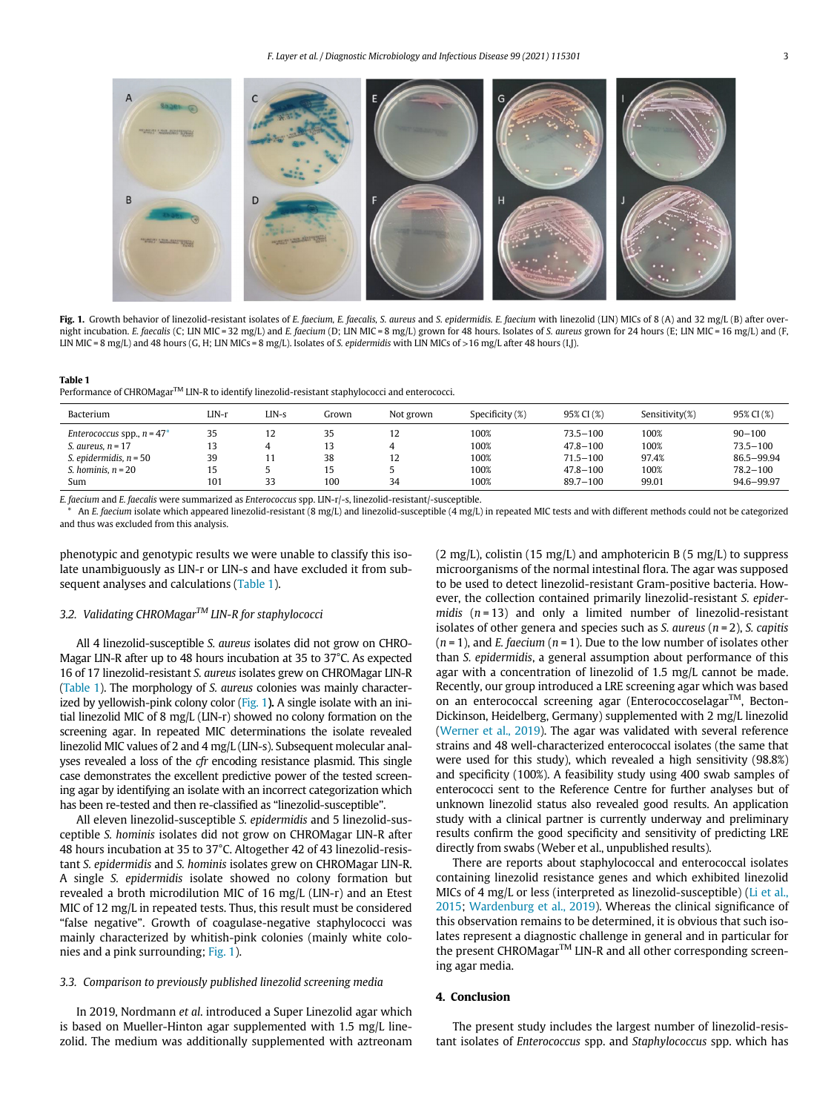<span id="page-2-0"></span>

Fig. 1. Growth behavior of linezolid-resistant isolates of E. faecium, E. faecalis, S. aureus and S. epidermidis. E. faecium with linezolid (LIN) MICs of 8 (A) and 32 mg/L (B) after overnight incubation. E. faecalis (C; LIN MIC = 32 mg/L) and E. faecium (D; LIN MIC = 8 mg/L) grown for 48 hours. Isolates of S. aureus grown for 24 hours (E; LIN MIC = 16 mg/L) and (F, LIN MIC = 8 mg/L) and 48 hours (G, H; LIN MICs = 8 mg/L). Isolates of S. epidermidis with LIN MICs of >16 mg/L after 48 hours (I,J).

#### <span id="page-2-1"></span>Table 1 Performance of CHROMagar<sup>TM</sup> LIN-R to identify linezolid-resistant staphylococci and enterococci.

| Bacterium                                            | LIN-r    | LIN-s | Grown | Not grown | Specificity (%) | 95% CI (%)                   | Sensitivity(%) | 95% CI (%)                 |
|------------------------------------------------------|----------|-------|-------|-----------|-----------------|------------------------------|----------------|----------------------------|
| Enterococcus spp., $n = 47^*$<br>S. aureus, $n = 17$ | 35<br>13 | 12    | 13    | 12        | 100%<br>100%    | $73.5 - 100$<br>$47.8 - 100$ | 100%<br>100%   | $90 - 100$<br>$73.5 - 100$ |
| S. epidermidis, $n = 50$                             | 39       |       | 38    | 12        | 100%            | $71.5 - 100$                 | 97.4%          | 86.5-99.94                 |
| S. hominis. $n = 20$                                 | 15       |       | 15    |           | 100%            | $47.8 - 100$                 | 100%           | $78.2 - 100$               |
| Sum                                                  | 101      | 33    | 100   | 34        | 100%            | $89.7 - 100$                 | 99.01          | 94.6-99.97                 |

E. faecium and E. faecalis were summarized as Enterococcus spp. LIN-r/-s, linezolid-resistant/-susceptible.

<span id="page-2-2"></span>An E. faecium isolate which appeared linezolid-resistant (8 mg/L) and linezolid-susceptible (4 mg/L) in repeated MIC tests and with different methods could not be categorized and thus was excluded from this analysis.

phenotypic and genotypic results we were unable to classify this isolate unambiguously as LIN-r or LIN-s and have excluded it from subsequent analyses and calculations [\(Table 1](#page-2-1)).

## 3.2. Validating CHROMagar<sup>™</sup> LIN-R for staphylococci

All 4 linezolid-susceptible S. aureus isolates did not grow on CHRO-Magar LIN-R after up to 48 hours incubation at 35 to 37°C. As expected 16 of 17 linezolid-resistant S. aureus isolates grew on CHROMagar LIN-R [\(Table 1](#page-2-1)). The morphology of S. aureus colonies was mainly characterized by yellowish-pink colony color [\(Fig. 1](#page-2-0)). A single isolate with an initial linezolid MIC of 8 mg/L (LIN-r) showed no colony formation on the screening agar. In repeated MIC determinations the isolate revealed linezolid MIC values of 2 and 4 mg/L (LIN-s). Subsequent molecular analyses revealed a loss of the cfr encoding resistance plasmid. This single case demonstrates the excellent predictive power of the tested screening agar by identifying an isolate with an incorrect categorization which has been re-tested and then re-classified as "linezolid-susceptible".

All eleven linezolid-susceptible S. epidermidis and 5 linezolid-susceptible S. hominis isolates did not grow on CHROMagar LIN-R after 48 hours incubation at 35 to 37°C. Altogether 42 of 43 linezolid-resistant S. epidermidis and S. hominis isolates grew on CHROMagar LIN-R. A single S. epidermidis isolate showed no colony formation but revealed a broth microdilution MIC of 16 mg/L (LIN-r) and an Etest MIC of 12 mg/L in repeated tests. Thus, this result must be considered "false negative". Growth of coagulase-negative staphylococci was mainly characterized by whitish-pink colonies (mainly white colonies and a pink surrounding; [Fig. 1](#page-2-0)).

## 3.3. Comparison to previously published linezolid screening media

In 2019, Nordmann et al. introduced a Super Linezolid agar which is based on Mueller-Hinton agar supplemented with 1.5 mg/L linezolid. The medium was additionally supplemented with aztreonam  $(2 \text{ mg/L})$ , colistin  $(15 \text{ mg/L})$  and amphotericin B  $(5 \text{ mg/L})$  to suppress microorganisms of the normal intestinal flora. The agar was supposed to be used to detect linezolid-resistant Gram-positive bacteria. However, the collection contained primarily linezolid-resistant S. epidermidis  $(n = 13)$  and only a limited number of linezolid-resistant isolates of other genera and species such as S. aureus ( $n = 2$ ), S. capitis  $(n = 1)$ , and *E*. faecium  $(n = 1)$ . Due to the low number of isolates other than S. epidermidis, a general assumption about performance of this agar with a concentration of linezolid of 1.5 mg/L cannot be made. Recently, our group introduced a LRE screening agar which was based on an enterococcal screening agar (Enterococcoselagar<sup>TM</sup>, Becton-Dickinson, Heidelberg, Germany) supplemented with 2 mg/L linezolid [\(Werner et al., 2019\)](#page-4-13). The agar was validated with several reference strains and 48 well-characterized enterococcal isolates (the same that were used for this study), which revealed a high sensitivity (98.8%) and specificity (100%). A feasibility study using 400 swab samples of enterococci sent to the Reference Centre for further analyses but of unknown linezolid status also revealed good results. An application study with a clinical partner is currently underway and preliminary results confirm the good specificity and sensitivity of predicting LRE directly from swabs (Weber et al., unpublished results).

There are reports about staphylococcal and enterococcal isolates containing linezolid resistance genes and which exhibited linezolid MICs of 4 mg/L or less (interpreted as linezolid-susceptible) ([Li et al.,](#page-4-17) [2015;](#page-4-17) [Wardenburg et al., 2019\)](#page-4-18). Whereas the clinical significance of this observation remains to be determined, it is obvious that such isolates represent a diagnostic challenge in general and in particular for the present CHROMagar<sup>TM</sup> LIN-R and all other corresponding screening agar media.

## 4. Conclusion

The present study includes the largest number of linezolid-resistant isolates of Enterococcus spp. and Staphylococcus spp. which has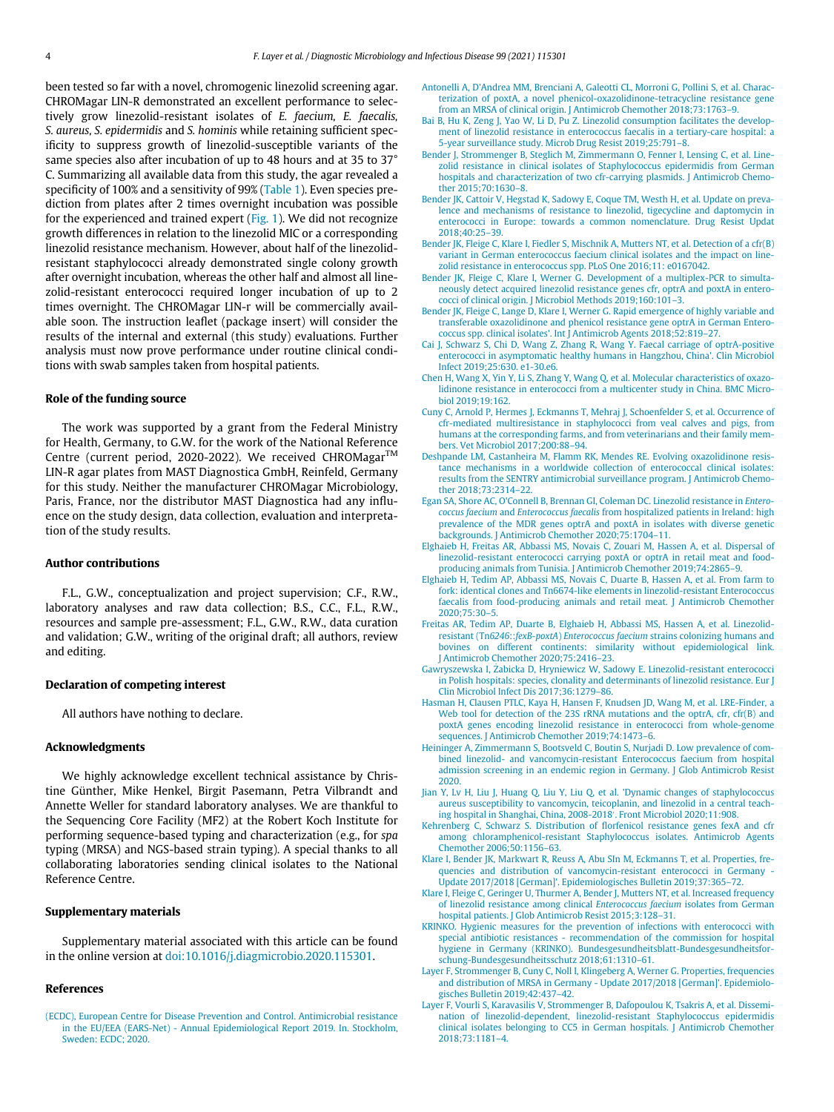<span id="page-3-22"></span><span id="page-3-15"></span><span id="page-3-7"></span><span id="page-3-0"></span>been tested so far with a novel, chromogenic linezolid screening agar. CHROMagar LIN-R demonstrated an excellent performance to selectively grow linezolid-resistant isolates of E. faecium, E. faecalis, S. aureus, S. epidermidis and S. hominis while retaining sufficient specificity to suppress growth of linezolid-susceptible variants of the same species also after incubation of up to 48 hours and at 35 to 37° C. Summarizing all available data from this study, the agar revealed a specificity of 100% and a sensitivity of 99% [\(Table 1](#page-2-1)). Even species prediction from plates after 2 times overnight incubation was possible for the experienced and trained expert ([Fig. 1](#page-2-0)). We did not recognize growth differences in relation to the linezolid MIC or a corresponding linezolid resistance mechanism. However, about half of the linezolidresistant staphylococci already demonstrated single colony growth after overnight incubation, whereas the other half and almost all linezolid-resistant enterococci required longer incubation of up to 2 times overnight. The CHROMagar LIN-r will be commercially available soon. The instruction leaflet (package insert) will consider the results of the internal and external (this study) evaluations. Further analysis must now prove performance under routine clinical conditions with swab samples taken from hospital patients.

## <span id="page-3-20"></span><span id="page-3-16"></span><span id="page-3-11"></span><span id="page-3-10"></span><span id="page-3-9"></span><span id="page-3-8"></span>Role of the funding source

<span id="page-3-12"></span>The work was supported by a grant from the Federal Ministry for Health, Germany, to G.W. for the work of the National Reference Centre (current period, 2020-2022). We received CHROMagar™ LIN-R agar plates from MAST Diagnostica GmbH, Reinfeld, Germany for this study. Neither the manufacturer CHROMagar Microbiology, Paris, France, nor the distributor MAST Diagnostica had any influence on the study design, data collection, evaluation and interpretation of the study results.

## <span id="page-3-18"></span><span id="page-3-17"></span>Author contributions

<span id="page-3-19"></span><span id="page-3-13"></span>F.L., G.W., conceptualization and project supervision; C.F., R.W., laboratory analyses and raw data collection; B.S., C.C., F.L., R.W., resources and sample pre-assessment; F.L., G.W., R.W., data curation and validation; G.W., writing of the original draft; all authors, review and editing.

## <span id="page-3-25"></span><span id="page-3-14"></span>Declaration of competing interest

All authors have nothing to declare.

## <span id="page-3-3"></span>Acknowledgments

<span id="page-3-26"></span><span id="page-3-1"></span>We highly acknowledge excellent technical assistance by Christine Günther, Mike Henkel, Birgit Pasemann, Petra Vilbrandt and Annette Weller for standard laboratory analyses. We are thankful to the Sequencing Core Facility (MF2) at the Robert Koch Institute for performing sequence-based typing and characterization (e.g., for spa typing (MRSA) and NGS-based strain typing). A special thanks to all collaborating laboratories sending clinical isolates to the National Reference Centre.

## <span id="page-3-24"></span><span id="page-3-21"></span><span id="page-3-5"></span><span id="page-3-4"></span>Supplementary materials

Supplementary material associated with this article can be found in the online version at [doi:10.1016/j.diagmicrobio.2020.115301](https://doi.org/10.1016/j.diagmicrobio.2020.115301).

#### <span id="page-3-6"></span>References

<span id="page-3-23"></span><span id="page-3-2"></span>[\(ECDC\), European Centre for Disease Prevention and Control. Antimicrobial resistance](http://refhub.elsevier.com/S0732-8893(20)30678-7/sbref0001) [in the EU/EEA \(EARS-Net\) - Annual Epidemiological Report 2019. In. Stockholm,](http://refhub.elsevier.com/S0732-8893(20)30678-7/sbref0001) [Sweden: ECDC; 2020.](http://refhub.elsevier.com/S0732-8893(20)30678-7/sbref0001)

- [Antonelli A, D'Andrea MM, Brenciani A, Galeotti CL, Morroni G, Pollini S, et al. Charac](http://refhub.elsevier.com/S0732-8893(20)30678-7/sbref0002)[terization of poxtA, a novel phenicol-oxazolidinone-tetracycline resistance gene](http://refhub.elsevier.com/S0732-8893(20)30678-7/sbref0002) [from an MRSA of clinical origin. J Antimicrob Chemother 2018;73:1763](http://refhub.elsevier.com/S0732-8893(20)30678-7/sbref0002)–9.
- [Bai B, Hu K, Zeng J, Yao W, Li D, Pu Z. Linezolid consumption facilitates the develop](http://refhub.elsevier.com/S0732-8893(20)30678-7/sbref0003)[ment of linezolid resistance in enterococcus faecalis in a tertiary-care hospital: a](http://refhub.elsevier.com/S0732-8893(20)30678-7/sbref0003) [5-year surveillance study. Microb Drug Resist 2019;25:791](http://refhub.elsevier.com/S0732-8893(20)30678-7/sbref0003)–8.
- [Bender J, Strommenger B, Steglich M, Zimmermann O, Fenner I, Lensing C, et al. Line](http://refhub.elsevier.com/S0732-8893(20)30678-7/sbref0004)[zolid resistance in clinical isolates of Staphylococcus epidermidis from German](http://refhub.elsevier.com/S0732-8893(20)30678-7/sbref0004) [hospitals and characterization of two cfr-carrying plasmids. J Antimicrob Chemo](http://refhub.elsevier.com/S0732-8893(20)30678-7/sbref0004)[ther 2015;70:1630](http://refhub.elsevier.com/S0732-8893(20)30678-7/sbref0004)–8.
- [Bender JK, Cattoir V, Hegstad K, Sadowy E, Coque TM, Westh H, et al. Update on preva](http://refhub.elsevier.com/S0732-8893(20)30678-7/sbref0005)[lence and mechanisms of resistance to linezolid, tigecycline and daptomycin in](http://refhub.elsevier.com/S0732-8893(20)30678-7/sbref0005) [enterococci in Europe: towards a common nomenclature. Drug Resist Updat](http://refhub.elsevier.com/S0732-8893(20)30678-7/sbref0005) [2018;40:25](http://refhub.elsevier.com/S0732-8893(20)30678-7/sbref0005)–39.
- [Bender JK, Fleige C, Klare I, Fiedler S, Mischnik A, Mutters NT, et al. Detection of a cfr\(B\)](http://refhub.elsevier.com/S0732-8893(20)30678-7/sbref0006) [variant in German enterococcus faecium clinical isolates and the impact on line](http://refhub.elsevier.com/S0732-8893(20)30678-7/sbref0006)[zolid resistance in enterococcus spp. PLoS One 2016;11: e0167042.](http://refhub.elsevier.com/S0732-8893(20)30678-7/sbref0006)
- [Bender JK, Fleige C, Klare I, Werner G. Development of a multiplex-PCR to simulta](http://refhub.elsevier.com/S0732-8893(20)30678-7/sbref0007)[neously detect acquired linezolid resistance genes cfr, optrA and poxtA in entero](http://refhub.elsevier.com/S0732-8893(20)30678-7/sbref0007)[cocci of clinical origin. J Microbiol Methods 2019;160:101](http://refhub.elsevier.com/S0732-8893(20)30678-7/sbref0007)–3.
- [Bender JK, Fleige C, Lange D, Klare I, Werner G. Rapid emergence of highly variable and](http://refhub.elsevier.com/S0732-8893(20)30678-7/sbref0008) [transferable oxazolidinone and phenicol resistance gene optrA in German Entero](http://refhub.elsevier.com/S0732-8893(20)30678-7/sbref0008)[coccus spp. clinical isolates'. Int J Antimicrob Agents 2018;52:819](http://refhub.elsevier.com/S0732-8893(20)30678-7/sbref0008)–27.
- [Cai J, Schwarz S, Chi D, Wang Z, Zhang R, Wang Y. Faecal carriage of optrA-positive](http://refhub.elsevier.com/S0732-8893(20)30678-7/sbref0009) [enterococci in asymptomatic healthy humans in Hangzhou, China'. Clin Microbiol](http://refhub.elsevier.com/S0732-8893(20)30678-7/sbref0009) [Infect 2019;25:630. e1-30.e6.](http://refhub.elsevier.com/S0732-8893(20)30678-7/sbref0009)
- [Chen H, Wang X, Yin Y, Li S, Zhang Y, Wang Q, et al. Molecular characteristics of oxazo](http://refhub.elsevier.com/S0732-8893(20)30678-7/sbref0010)[lidinone resistance in enterococci from a multicenter study in China. BMC Micro](http://refhub.elsevier.com/S0732-8893(20)30678-7/sbref0010)[biol 2019;19:162.](http://refhub.elsevier.com/S0732-8893(20)30678-7/sbref0010)
- [Cuny C, Arnold P, Hermes J, Eckmanns T, Mehraj J, Schoenfelder S, et al. Occurrence of](http://refhub.elsevier.com/S0732-8893(20)30678-7/sbref0011) [cfr-mediated multiresistance in staphylococci from veal calves and pigs, from](http://refhub.elsevier.com/S0732-8893(20)30678-7/sbref0011) [humans at the corresponding farms, and from veterinarians and their family mem](http://refhub.elsevier.com/S0732-8893(20)30678-7/sbref0011)[bers. Vet Microbiol 2017;200:88](http://refhub.elsevier.com/S0732-8893(20)30678-7/sbref0011)–94.
- [Deshpande LM, Castanheira M, Flamm RK, Mendes RE. Evolving oxazolidinone resis](http://refhub.elsevier.com/S0732-8893(20)30678-7/sbref0012)[tance mechanisms in a worldwide collection of enterococcal clinical isolates:](http://refhub.elsevier.com/S0732-8893(20)30678-7/sbref0012) [results from the SENTRY antimicrobial surveillance program. J Antimicrob Chemo](http://refhub.elsevier.com/S0732-8893(20)30678-7/sbref0012)[ther 2018;73:2314](http://refhub.elsevier.com/S0732-8893(20)30678-7/sbref0012)–22.
- [Egan SA, Shore AC, O'Connell B, Brennan GI, Coleman DC. Linezolid resistance in](http://refhub.elsevier.com/S0732-8893(20)30678-7/sbref0013) Enterococcus faecium and Enterococcus faecalis [from hospitalized patients in Ireland: high](http://refhub.elsevier.com/S0732-8893(20)30678-7/sbref0013) [prevalence of the MDR genes optrA and poxtA in isolates with diverse genetic](http://refhub.elsevier.com/S0732-8893(20)30678-7/sbref0013) [backgrounds. J Antimicrob Chemother 2020;75:1704](http://refhub.elsevier.com/S0732-8893(20)30678-7/sbref0013)–11.
- [Elghaieb H, Freitas AR, Abbassi MS, Novais C, Zouari M, Hassen A, et al. Dispersal of](http://refhub.elsevier.com/S0732-8893(20)30678-7/sbref0014) [linezolid-resistant enterococci carrying poxtA or optrA in retail meat and food](http://refhub.elsevier.com/S0732-8893(20)30678-7/sbref0014)[producing animals from Tunisia. J Antimicrob Chemother 2019;74:2865](http://refhub.elsevier.com/S0732-8893(20)30678-7/sbref0014)–9.
- [Elghaieb H, Tedim AP, Abbassi MS, Novais C, Duarte B, Hassen A, et al. From farm to](http://refhub.elsevier.com/S0732-8893(20)30678-7/sbref0015) [fork: identical clones and Tn6674-like elements in linezolid-resistant Enterococcus](http://refhub.elsevier.com/S0732-8893(20)30678-7/sbref0015) [faecalis from food-producing animals and retail meat. J Antimicrob Chemother](http://refhub.elsevier.com/S0732-8893(20)30678-7/sbref0015) [2020;75:30](http://refhub.elsevier.com/S0732-8893(20)30678-7/sbref0015)–5.
- [Freitas AR, Tedim AP, Duarte B, Elghaieb H, Abbassi MS, Hassen A, et al. Linezolid](http://refhub.elsevier.com/S0732-8893(20)30678-7/sbref0016)resistant (Tn6246::fexB-poxtA) Enterococcus faecium [strains colonizing humans and](http://refhub.elsevier.com/S0732-8893(20)30678-7/sbref0016) [bovines on different continents: similarity without epidemiological link.](http://refhub.elsevier.com/S0732-8893(20)30678-7/sbref0016) [J Antimicrob Chemother 2020;75:2416](http://refhub.elsevier.com/S0732-8893(20)30678-7/sbref0016)–23.
- [Gawryszewska I,](http://refhub.elsevier.com/S0732-8893(20)30678-7/sbref0017) Żabicka D, Hryniewicz W, Sadowy E. Linezolid-resistant enterococci [in Polish hospitals: species, clonality and determinants of linezolid resistance. Eur J](http://refhub.elsevier.com/S0732-8893(20)30678-7/sbref0017) [Clin Microbiol Infect Dis 2017;36:1279](http://refhub.elsevier.com/S0732-8893(20)30678-7/sbref0017)–86.
- [Hasman H, Clausen PTLC, Kaya H, Hansen F, Knudsen JD, Wang M, et al. LRE-Finder, a](http://refhub.elsevier.com/S0732-8893(20)30678-7/sbref0018) [Web tool for detection of the 23S rRNA mutations and the optrA, cfr, cfr\(B\) and](http://refhub.elsevier.com/S0732-8893(20)30678-7/sbref0018) [poxtA genes encoding linezolid resistance in enterococci from whole-genome](http://refhub.elsevier.com/S0732-8893(20)30678-7/sbref0018) [sequences. J Antimicrob Chemother 2019;74:1473](http://refhub.elsevier.com/S0732-8893(20)30678-7/sbref0018)–6.
- [Heininger A, Zimmermann S, Bootsveld C, Boutin S, Nurjadi D. Low prevalence of com](http://refhub.elsevier.com/S0732-8893(20)30678-7/sbref0019)[bined linezolid- and vancomycin-resistant Enterococcus faecium from hospital](http://refhub.elsevier.com/S0732-8893(20)30678-7/sbref0019) [admission screening in an endemic region in Germany. J Glob Antimicrob Resist](http://refhub.elsevier.com/S0732-8893(20)30678-7/sbref0019) [2020.](http://refhub.elsevier.com/S0732-8893(20)30678-7/sbref0019)
- [Jian Y, Lv H, Liu J, Huang Q, Liu Y, Liu Q, et al. 'Dynamic changes of staphylococcus](http://refhub.elsevier.com/S0732-8893(20)30678-7/sbref0020) [aureus susceptibility to vancomycin, teicoplanin, and linezolid in a central teach](http://refhub.elsevier.com/S0732-8893(20)30678-7/sbref0020)[ing hospital in Shanghai, China, 2008-2018](http://refhub.elsevier.com/S0732-8893(20)30678-7/sbref0020)'[. Front Microbiol 2020;11:908.](http://refhub.elsevier.com/S0732-8893(20)30678-7/sbref0020)
- [Kehrenberg C, Schwarz S. Distribution of](http://refhub.elsevier.com/S0732-8893(20)30678-7/sbref0021) florfenicol resistance genes fexA and cfr [among chloramphenicol-resistant Staphylococcus isolates. Antimicrob Agents](http://refhub.elsevier.com/S0732-8893(20)30678-7/sbref0021) [Chemother 2006;50:1156](http://refhub.elsevier.com/S0732-8893(20)30678-7/sbref0021)–63.
- [Klare I, Bender JK, Markwart R, Reuss A, Abu SIn M, Eckmanns T, et al. Properties, fre](http://refhub.elsevier.com/S0732-8893(20)30678-7/sbref0022)[quencies and distribution of vancomycin-resistant enterococci in Germany -](http://refhub.elsevier.com/S0732-8893(20)30678-7/sbref0022) [Update 2017/2018 \[German\]'. Epidemiologisches Bulletin 2019;37:365](http://refhub.elsevier.com/S0732-8893(20)30678-7/sbref0022)–72.
- [Klare I, Fleige C, Geringer U, Thurmer A, Bender J, Mutters NT, et al. Increased frequency](http://refhub.elsevier.com/S0732-8893(20)30678-7/sbref0023) [of linezolid resistance among clinical](http://refhub.elsevier.com/S0732-8893(20)30678-7/sbref0023) Enterococcus faecium isolates from German [hospital patients. J Glob Antimicrob Resist 2015;3:128](http://refhub.elsevier.com/S0732-8893(20)30678-7/sbref0023)–31.
- [KRINKO. Hygienic measures for the prevention of infections with enterococci with](http://refhub.elsevier.com/S0732-8893(20)30678-7/sbref0024) [special antibiotic resistances - recommendation of the commission for hospital](http://refhub.elsevier.com/S0732-8893(20)30678-7/sbref0024) [hygiene in Germany \(KRINKO\). Bundesgesundheitsblatt-Bundesgesundheitsfor](http://refhub.elsevier.com/S0732-8893(20)30678-7/sbref0024)[schung-Bundesgesundheitsschutz 2018;61:1310](http://refhub.elsevier.com/S0732-8893(20)30678-7/sbref0024)–61.
- [Layer F, Strommenger B, Cuny C, Noll I, Klingeberg A, Werner G. Properties, frequencies](http://refhub.elsevier.com/S0732-8893(20)30678-7/sbref0025) [and distribution of MRSA in Germany - Update 2017/2018 \[German\]'. Epidemiolo](http://refhub.elsevier.com/S0732-8893(20)30678-7/sbref0025)[gisches Bulletin 2019;42:437](http://refhub.elsevier.com/S0732-8893(20)30678-7/sbref0025)–42.
- [Layer F, Vourli S, Karavasilis V, Strommenger B, Dafopoulou K, Tsakris A, et al. Dissemi](http://refhub.elsevier.com/S0732-8893(20)30678-7/sbref0026)[nation of linezolid-dependent, linezolid-resistant Staphylococcus epidermidis](http://refhub.elsevier.com/S0732-8893(20)30678-7/sbref0026) [clinical isolates belonging to CC5 in German hospitals. J Antimicrob Chemother](http://refhub.elsevier.com/S0732-8893(20)30678-7/sbref0026) [2018;73:1181](http://refhub.elsevier.com/S0732-8893(20)30678-7/sbref0026)–4.